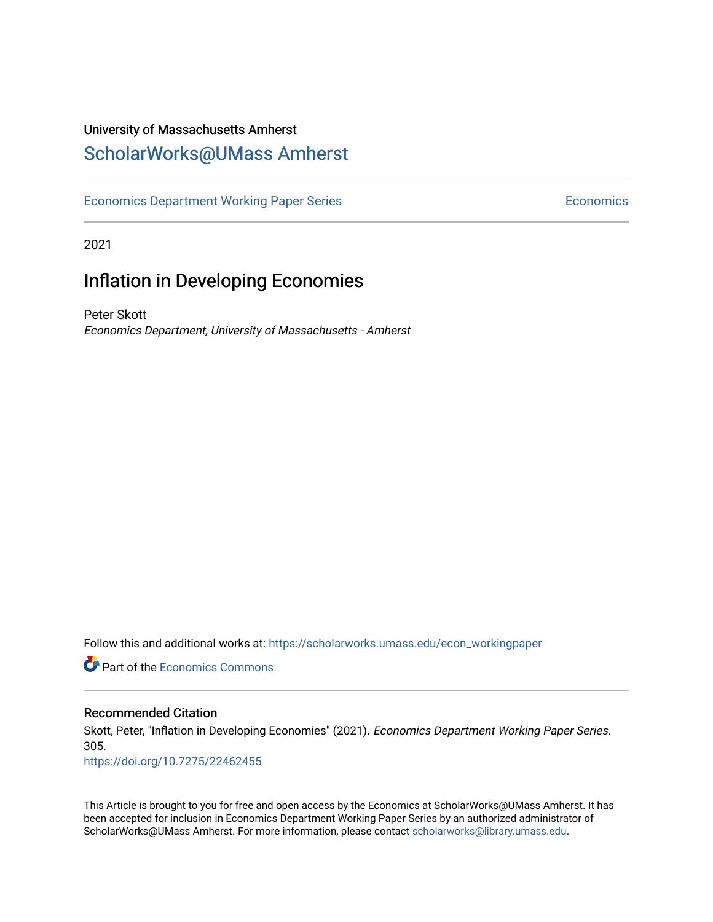## University of Massachusetts Amherst [ScholarWorks@UMass Amherst](https://scholarworks.umass.edu/)

[Economics Department Working Paper Series](https://scholarworks.umass.edu/econ_workingpaper) **Economics** Economics

2021

# Inflation in Developing Economies

Peter Skott Economics Department, University of Massachusetts - Amherst

Follow this and additional works at: [https://scholarworks.umass.edu/econ\\_workingpaper](https://scholarworks.umass.edu/econ_workingpaper?utm_source=scholarworks.umass.edu%2Fecon_workingpaper%2F305&utm_medium=PDF&utm_campaign=PDFCoverPages) 

**C** Part of the [Economics Commons](http://network.bepress.com/hgg/discipline/340?utm_source=scholarworks.umass.edu%2Fecon_workingpaper%2F305&utm_medium=PDF&utm_campaign=PDFCoverPages)

### Recommended Citation

Skott, Peter, "Inflation in Developing Economies" (2021). Economics Department Working Paper Series. 305.

<https://doi.org/10.7275/22462455>

This Article is brought to you for free and open access by the Economics at ScholarWorks@UMass Amherst. It has been accepted for inclusion in Economics Department Working Paper Series by an authorized administrator of ScholarWorks@UMass Amherst. For more information, please contact [scholarworks@library.umass.edu.](mailto:scholarworks@library.umass.edu)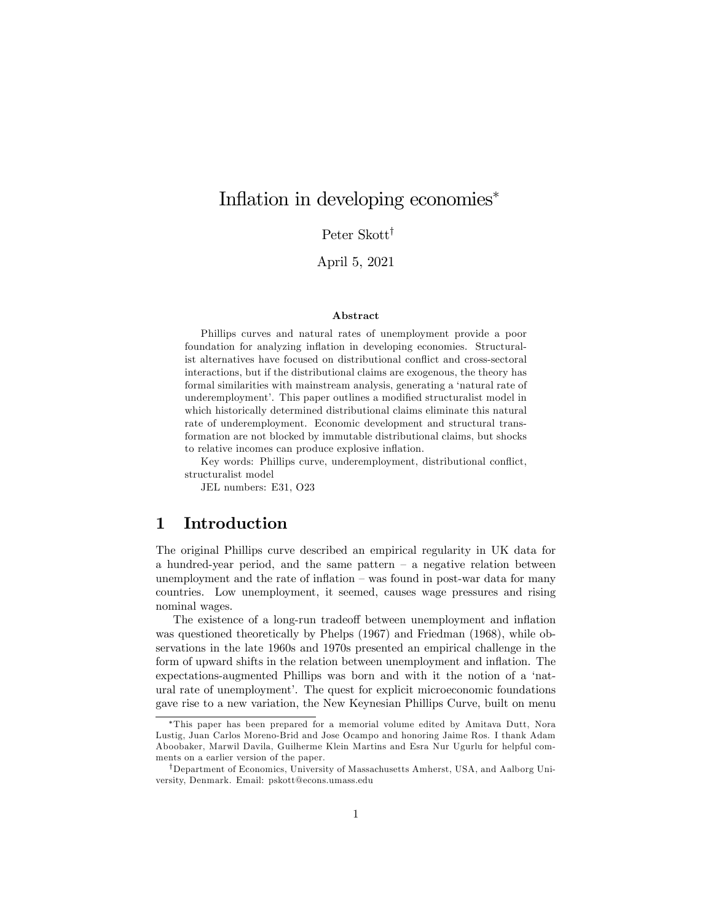## Inflation in developing economies<sup>\*</sup>

Peter Skott<sup>†</sup>

April 5, 2021

#### Abstract

Phillips curves and natural rates of unemployment provide a poor foundation for analyzing inflation in developing economies. Structuralist alternatives have focused on distributional conflict and cross-sectoral interactions, but if the distributional claims are exogenous, the theory has formal similarities with mainstream analysis, generating a 'natural rate of underemployment'. This paper outlines a modified structuralist model in which historically determined distributional claims eliminate this natural rate of underemployment. Economic development and structural transformation are not blocked by immutable distributional claims, but shocks to relative incomes can produce explosive inflation.

Key words: Phillips curve, underemployment, distributional conflict, structuralist model

JEL numbers: E31, O23

## 1 Introduction

The original Phillips curve described an empirical regularity in UK data for a hundred-year period, and the same pattern  $-$  a negative relation between unemployment and the rate of inflation  $-$  was found in post-war data for many countries. Low unemployment, it seemed, causes wage pressures and rising nominal wages.

The existence of a long-run tradeoff between unemployment and inflation was questioned theoretically by Phelps (1967) and Friedman (1968), while observations in the late 1960s and 1970s presented an empirical challenge in the form of upward shifts in the relation between unemployment and inflation. The expectations-augmented Phillips was born and with it the notion of a 'natural rate of unemployment'. The quest for explicit microeconomic foundations gave rise to a new variation, the New Keynesian Phillips Curve, built on menu

This paper has been prepared for a memorial volume edited by Amitava Dutt, Nora Lustig, Juan Carlos Moreno-Brid and Jose Ocampo and honoring Jaime Ros. I thank Adam Aboobaker, Marwil Davila, Guilherme Klein Martins and Esra Nur Ugurlu for helpful comments on a earlier version of the paper.

<sup>&</sup>lt;sup>†</sup>Department of Economics, University of Massachusetts Amherst, USA, and Aalborg University, Denmark. Email: pskott@econs.umass.edu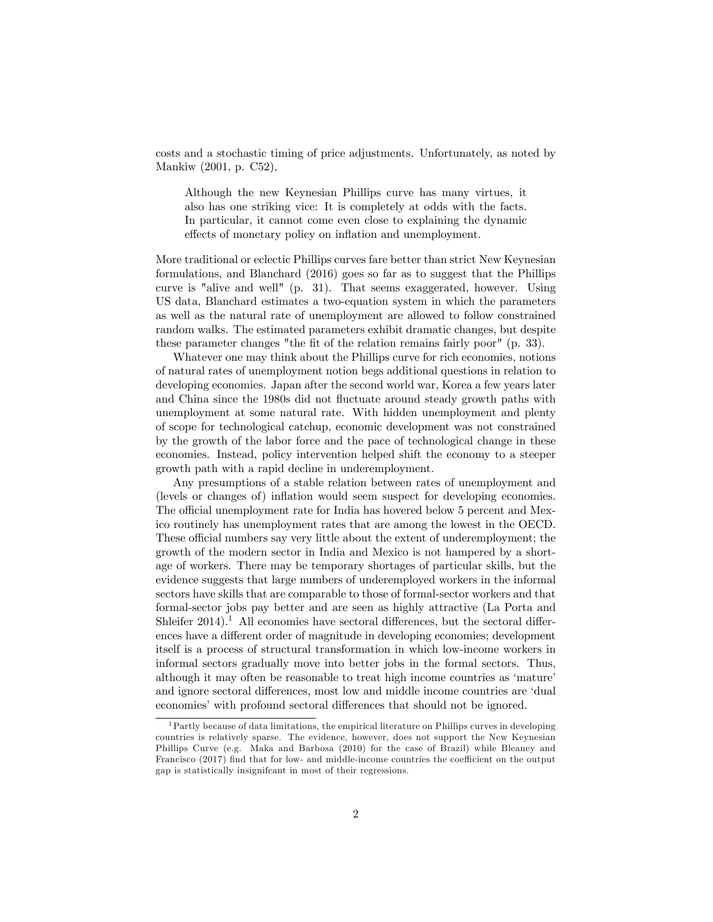costs and a stochastic timing of price adjustments. Unfortunately, as noted by Mankiw (2001, p. C52),

Although the new Keynesian Phillips curve has many virtues, it also has one striking vice: It is completely at odds with the facts. In particular, it cannot come even close to explaining the dynamic effects of monetary policy on inflation and unemployment.

More traditional or eclectic Phillips curves fare better than strict New Keynesian formulations, and Blanchard (2016) goes so far as to suggest that the Phillips curve is "alive and well" (p. 31). That seems exaggerated, however. Using US data, Blanchard estimates a two-equation system in which the parameters as well as the natural rate of unemployment are allowed to follow constrained random walks. The estimated parameters exhibit dramatic changes, but despite these parameter changes "the fit of the relation remains fairly poor" (p. 33).

Whatever one may think about the Phillips curve for rich economies, notions of natural rates of unemployment notion begs additional questions in relation to developing economies. Japan after the second world war, Korea a few years later and China since the 1980s did not fluctuate around steady growth paths with unemployment at some natural rate. With hidden unemployment and plenty of scope for technological catchup, economic development was not constrained by the growth of the labor force and the pace of technological change in these economies. Instead, policy intervention helped shift the economy to a steeper growth path with a rapid decline in underemployment.

Any presumptions of a stable relation between rates of unemployment and (levels or changes of) inflation would seem suspect for developing economies. The official unemployment rate for India has hovered below 5 percent and Mexico routinely has unemployment rates that are among the lowest in the OECD. These official numbers say very little about the extent of underemployment; the growth of the modern sector in India and Mexico is not hampered by a shortage of workers. There may be temporary shortages of particular skills, but the evidence suggests that large numbers of underemployed workers in the informal sectors have skills that are comparable to those of formal-sector workers and that formal-sector jobs pay better and are seen as highly attractive (La Porta and Shleifer  $2014$ .<sup>1</sup> All economies have sectoral differences, but the sectoral differences have a different order of magnitude in developing economies; development itself is a process of structural transformation in which low-income workers in informal sectors gradually move into better jobs in the formal sectors. Thus, although it may often be reasonable to treat high income countries as 'mature' and ignore sectoral differences, most low and middle income countries are 'dual economies' with profound sectoral differences that should not be ignored.

<sup>&</sup>lt;sup>1</sup> Partly because of data limitations, the empirical literature on Phillips curves in developing countries is relatively sparse. The evidence, however, does not support the New Keynesian Phillips Curve (e.g. Maka and Barbosa (2010) for the case of Brazil) while Bleaney and Francisco (2017) find that for low- and middle-income countries the coefficient on the output gap is statistically insignifcant in most of their regressions.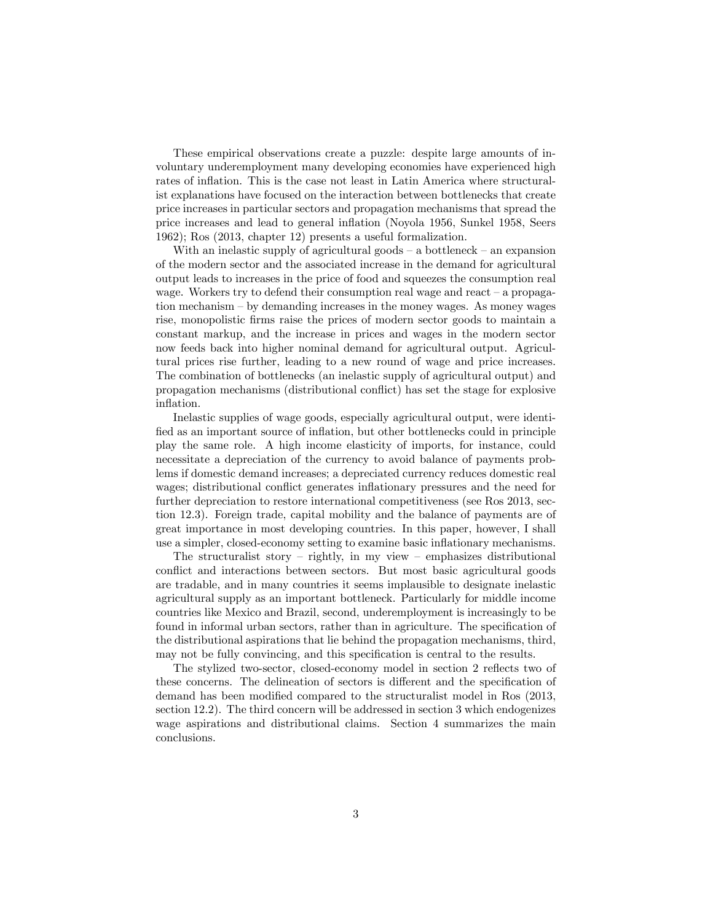These empirical observations create a puzzle: despite large amounts of involuntary underemployment many developing economies have experienced high rates of inflation. This is the case not least in Latin America where structuralist explanations have focused on the interaction between bottlenecks that create price increases in particular sectors and propagation mechanisms that spread the price increases and lead to general inflation (Noyola 1956, Sunkel 1958, Seers 1962); Ros (2013, chapter 12) presents a useful formalization.

With an inelastic supply of agricultural goods  $-\alpha$  bottleneck  $-\alpha$  expansion of the modern sector and the associated increase in the demand for agricultural output leads to increases in the price of food and squeezes the consumption real wage. Workers try to defend their consumption real wage and react  $-$  a propagation mechanism  $-$  by demanding increases in the money wages. As money wages rise, monopolistic firms raise the prices of modern sector goods to maintain a constant markup, and the increase in prices and wages in the modern sector now feeds back into higher nominal demand for agricultural output. Agricultural prices rise further, leading to a new round of wage and price increases. The combination of bottlenecks (an inelastic supply of agricultural output) and propagation mechanisms (distributional conáict) has set the stage for explosive inflation.

Inelastic supplies of wage goods, especially agricultural output, were identified as an important source of inflation, but other bottlenecks could in principle play the same role. A high income elasticity of imports, for instance, could necessitate a depreciation of the currency to avoid balance of payments problems if domestic demand increases; a depreciated currency reduces domestic real wages; distributional conflict generates inflationary pressures and the need for further depreciation to restore international competitiveness (see Ros 2013, section 12.3). Foreign trade, capital mobility and the balance of payments are of great importance in most developing countries. In this paper, however, I shall use a simpler, closed-economy setting to examine basic ináationary mechanisms.

The structuralist story  $-$  rightly, in my view  $-$  emphasizes distributional conflict and interactions between sectors. But most basic agricultural goods are tradable, and in many countries it seems implausible to designate inelastic agricultural supply as an important bottleneck. Particularly for middle income countries like Mexico and Brazil, second, underemployment is increasingly to be found in informal urban sectors, rather than in agriculture. The specification of the distributional aspirations that lie behind the propagation mechanisms, third, may not be fully convincing, and this specification is central to the results.

The stylized two-sector, closed-economy model in section 2 reflects two of these concerns. The delineation of sectors is different and the specification of demand has been modified compared to the structuralist model in Ros (2013, section 12.2). The third concern will be addressed in section 3 which endogenizes wage aspirations and distributional claims. Section 4 summarizes the main conclusions.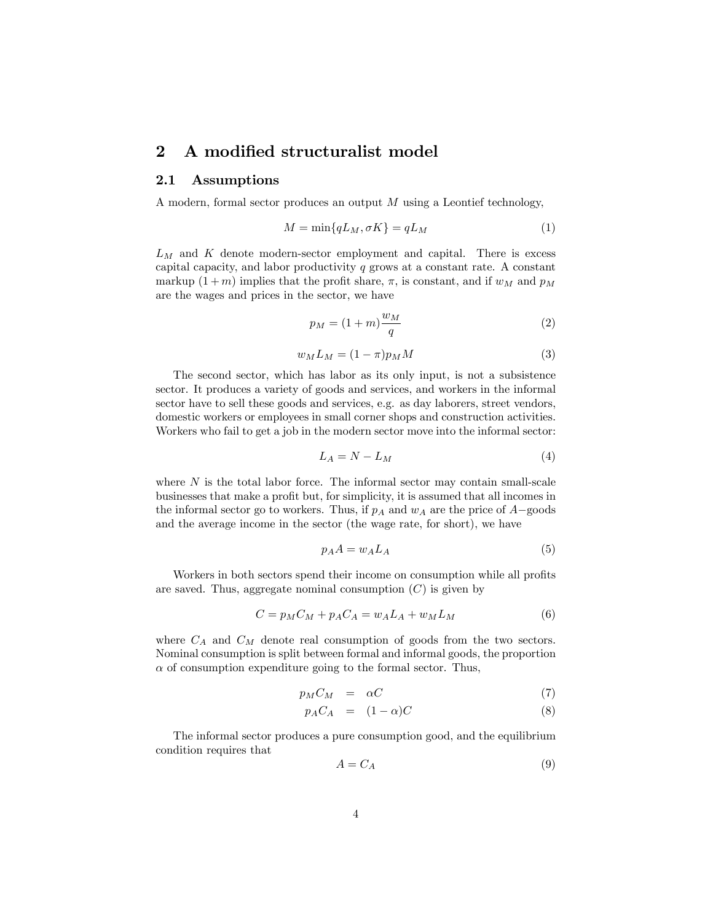### 2 A modified structuralist model

#### 2.1 Assumptions

A modern, formal sector produces an output M using a Leontief technology,

$$
M = \min\{qL_M, \sigma K\} = qL_M \tag{1}
$$

 $L_M$  and  $K$  denote modern-sector employment and capital. There is excess capital capacity, and labor productivity  $q$  grows at a constant rate. A constant markup  $(1 + m)$  implies that the profit share,  $\pi$ , is constant, and if  $w_M$  and  $p_M$ are the wages and prices in the sector, we have

$$
p_M = (1+m)\frac{w_M}{q} \tag{2}
$$

$$
w_M L_M = (1 - \pi) p_M M \tag{3}
$$

The second sector, which has labor as its only input, is not a subsistence sector. It produces a variety of goods and services, and workers in the informal sector have to sell these goods and services, e.g. as day laborers, street vendors, domestic workers or employees in small corner shops and construction activities. Workers who fail to get a job in the modern sector move into the informal sector:

$$
L_A = N - L_M \tag{4}
$$

where  $N$  is the total labor force. The informal sector may contain small-scale businesses that make a profit but, for simplicity, it is assumed that all incomes in the informal sector go to workers. Thus, if  $p_A$  and  $w_A$  are the price of  $A$ -goods and the average income in the sector (the wage rate, for short), we have

$$
p_A A = w_A L_A \tag{5}
$$

Workers in both sectors spend their income on consumption while all profits are saved. Thus, aggregate nominal consumption  $(C)$  is given by

$$
C = pMCM + pACA = wALA + wMLM
$$
\n(6)

where  $C_A$  and  $C_M$  denote real consumption of goods from the two sectors. Nominal consumption is split between formal and informal goods, the proportion  $\alpha$  of consumption expenditure going to the formal sector. Thus,

$$
p_M C_M = \alpha C \tag{7}
$$

$$
p_A C_A = (1 - \alpha)C \tag{8}
$$

The informal sector produces a pure consumption good, and the equilibrium condition requires that

$$
A = C_A \tag{9}
$$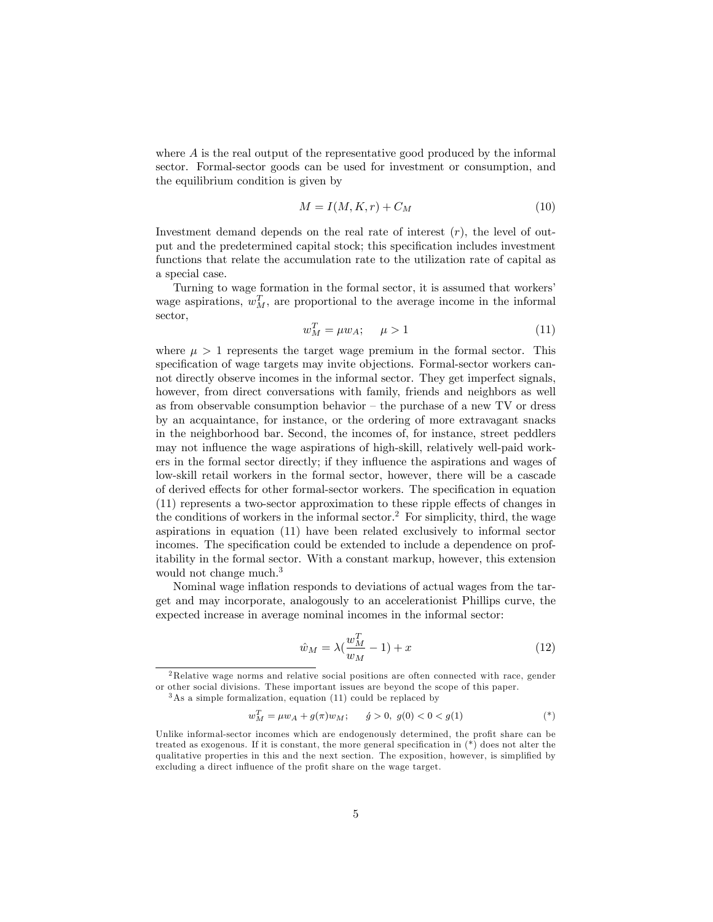where  $A$  is the real output of the representative good produced by the informal sector. Formal-sector goods can be used for investment or consumption, and the equilibrium condition is given by

$$
M = I(M, K, r) + C_M \tag{10}
$$

Investment demand depends on the real rate of interest  $(r)$ , the level of output and the predetermined capital stock; this specification includes investment functions that relate the accumulation rate to the utilization rate of capital as a special case.

Turning to wage formation in the formal sector, it is assumed that workers' wage aspirations,  $w_M^T$ , are proportional to the average income in the informal sector,

$$
w_M^T = \mu w_A; \quad \mu > 1 \tag{11}
$$

where  $\mu > 1$  represents the target wage premium in the formal sector. This specification of wage targets may invite objections. Formal-sector workers cannot directly observe incomes in the informal sector. They get imperfect signals, however, from direct conversations with family, friends and neighbors as well as from observable consumption behavior  $-$  the purchase of a new TV or dress by an acquaintance, for instance, or the ordering of more extravagant snacks in the neighborhood bar. Second, the incomes of, for instance, street peddlers may not influence the wage aspirations of high-skill, relatively well-paid workers in the formal sector directly; if they influence the aspirations and wages of low-skill retail workers in the formal sector, however, there will be a cascade of derived effects for other formal-sector workers. The specification in equation  $(11)$  represents a two-sector approximation to these ripple effects of changes in the conditions of workers in the informal sector.<sup>2</sup> For simplicity, third, the wage aspirations in equation (11) have been related exclusively to informal sector incomes. The specification could be extended to include a dependence on profitability in the formal sector. With a constant markup, however, this extension would not change much.<sup>3</sup>

Nominal wage inflation responds to deviations of actual wages from the target and may incorporate, analogously to an accelerationist Phillips curve, the expected increase in average nominal incomes in the informal sector:

$$
\hat{w}_M = \lambda \left(\frac{w_M^T}{w_M} - 1\right) + x \tag{12}
$$

$$
w_M^T = \mu w_A + g(\pi) w_M; \qquad \acute{g} > 0, \ g(0) < 0 < g(1) \tag{*}
$$

<sup>2</sup>Relative wage norms and relative social positions are often connected with race, gender or other social divisions. These important issues are beyond the scope of this paper.

 $3$ As a simple formalization, equation (11) could be replaced by

Unlike informal-sector incomes which are endogenously determined, the profit share can be treated as exogenous. If it is constant, the more general specification in  $(*)$  does not alter the qualitative properties in this and the next section. The exposition, however, is simplified by excluding a direct influence of the profit share on the wage target.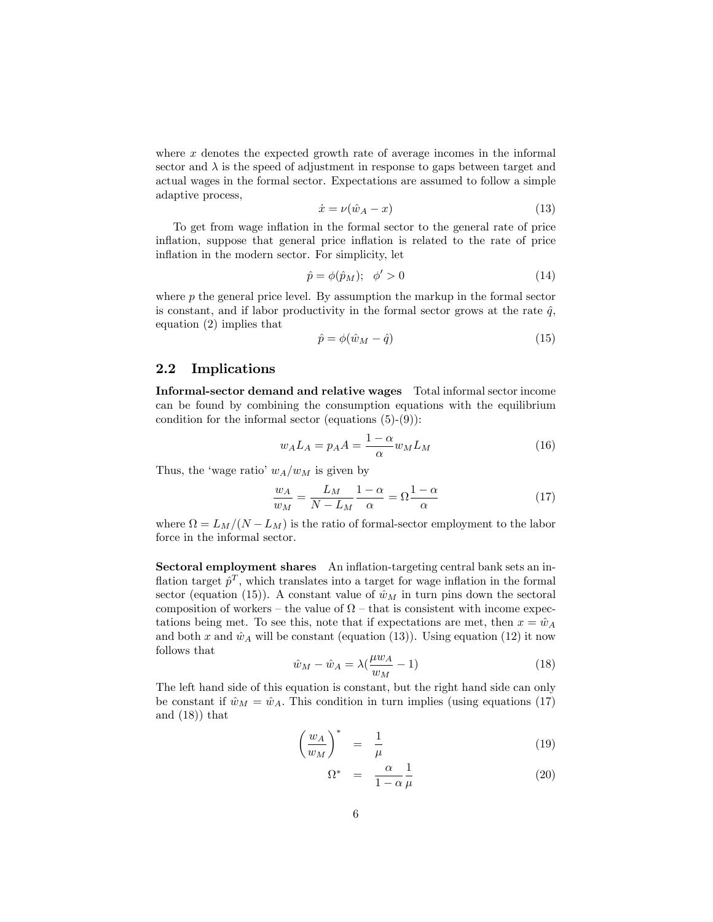where x denotes the expected growth rate of average incomes in the informal sector and  $\lambda$  is the speed of adjustment in response to gaps between target and actual wages in the formal sector. Expectations are assumed to follow a simple adaptive process,

$$
\dot{x} = \nu(\hat{w}_A - x) \tag{13}
$$

To get from wage inflation in the formal sector to the general rate of price inflation, suppose that general price inflation is related to the rate of price inflation in the modern sector. For simplicity, let

$$
\hat{p} = \phi(\hat{p}_M); \quad \phi' > 0 \tag{14}
$$

where  $p$  the general price level. By assumption the markup in the formal sector is constant, and if labor productivity in the formal sector grows at the rate  $\hat{q}$ , equation (2) implies that

$$
\hat{p} = \phi(\hat{w}_M - \hat{q})\tag{15}
$$

#### 2.2 Implications

Informal-sector demand and relative wages Total informal sector income can be found by combining the consumption equations with the equilibrium condition for the informal sector (equations  $(5)-(9)$ ):

$$
w_A L_A = p_A A = \frac{1 - \alpha}{\alpha} w_M L_M \tag{16}
$$

Thus, the 'wage ratio'  $w_A/w_M$  is given by

$$
\frac{w_A}{w_M} = \frac{L_M}{N - L_M} \frac{1 - \alpha}{\alpha} = \Omega \frac{1 - \alpha}{\alpha} \tag{17}
$$

where  $\Omega = L_M/(N - L_M)$  is the ratio of formal-sector employment to the labor force in the informal sector.

Sectoral employment shares An inflation-targeting central bank sets an inflation target  $\hat{p}^T$ , which translates into a target for wage inflation in the formal sector (equation (15)). A constant value of  $\hat{w}_M$  in turn pins down the sectoral composition of workers – the value of  $\Omega$  – that is consistent with income expectations being met. To see this, note that if expectations are met, then  $x = \hat{w}_A$ and both x and  $\hat{w}_A$  will be constant (equation (13)). Using equation (12) it now follows that

$$
\hat{w}_M - \hat{w}_A = \lambda \left(\frac{\mu w_A}{w_M} - 1\right) \tag{18}
$$

The left hand side of this equation is constant, but the right hand side can only be constant if  $\hat{w}_M = \hat{w}_A$ . This condition in turn implies (using equations (17) and (18)) that

$$
\left(\frac{w_A}{w_M}\right)^* = \frac{1}{\mu} \tag{19}
$$

$$
\Omega^* = \frac{\alpha}{1 - \alpha} \frac{1}{\mu} \tag{20}
$$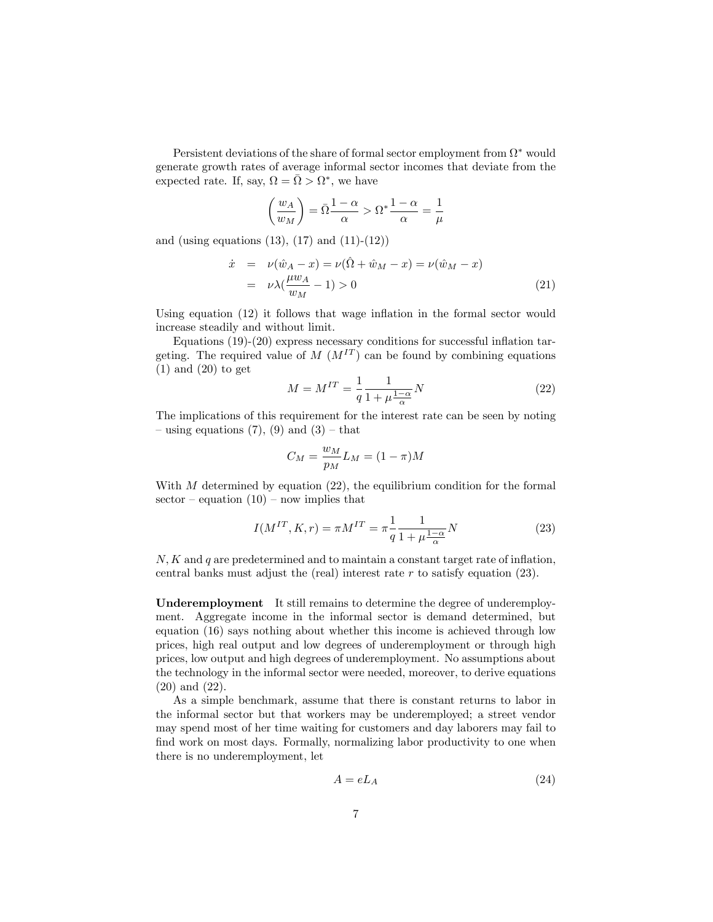Persistent deviations of the share of formal sector employment from  $\Omega^*$  would generate growth rates of average informal sector incomes that deviate from the expected rate. If, say,  $\Omega = \overline{\Omega} > \Omega^*$ , we have

$$
\left(\frac{w_A}{w_M}\right) = \bar{\Omega}\frac{1-\alpha}{\alpha} > \Omega^* \frac{1-\alpha}{\alpha} = \frac{1}{\mu}
$$

and (using equations  $(13)$ ,  $(17)$  and  $(11)-(12)$ )

$$
\dot{x} = \nu(\hat{w}_A - x) = \nu(\hat{\Omega} + \hat{w}_M - x) = \nu(\hat{w}_M - x)
$$
  
=  $\nu \lambda (\frac{\mu w_A}{w_M} - 1) > 0$  (21)

Using equation  $(12)$  it follows that wage inflation in the formal sector would increase steadily and without limit.

Equations  $(19)-(20)$  express necessary conditions for successful inflation targeting. The required value of  $M (M^{IT})$  can be found by combining equations  $(1)$  and  $(20)$  to get

$$
M = M^{IT} = \frac{1}{q} \frac{1}{1 + \mu \frac{1 - \alpha}{\alpha}} N
$$
\n(22)

The implications of this requirement for the interest rate can be seen by noting – using equations (7), (9) and (3) – that

$$
C_M = \frac{w_M}{p_M} L_M = (1 - \pi)M
$$

With  $M$  determined by equation (22), the equilibrium condition for the formal sector – equation  $(10)$  – now implies that

$$
I(M^{IT}, K, r) = \pi M^{IT} = \pi \frac{1}{q} \frac{1}{1 + \mu \frac{1 - \alpha}{\alpha}} N
$$
 (23)

 $N, K$  and q are predetermined and to maintain a constant target rate of inflation, central banks must adjust the (real) interest rate  $r$  to satisfy equation (23).

Underemployment It still remains to determine the degree of underemployment. Aggregate income in the informal sector is demand determined, but equation (16) says nothing about whether this income is achieved through low prices, high real output and low degrees of underemployment or through high prices, low output and high degrees of underemployment. No assumptions about the technology in the informal sector were needed, moreover, to derive equations (20) and (22).

As a simple benchmark, assume that there is constant returns to labor in the informal sector but that workers may be underemployed; a street vendor may spend most of her time waiting for customers and day laborers may fail to find work on most days. Formally, normalizing labor productivity to one when there is no underemployment, let

$$
A = eL_A \tag{24}
$$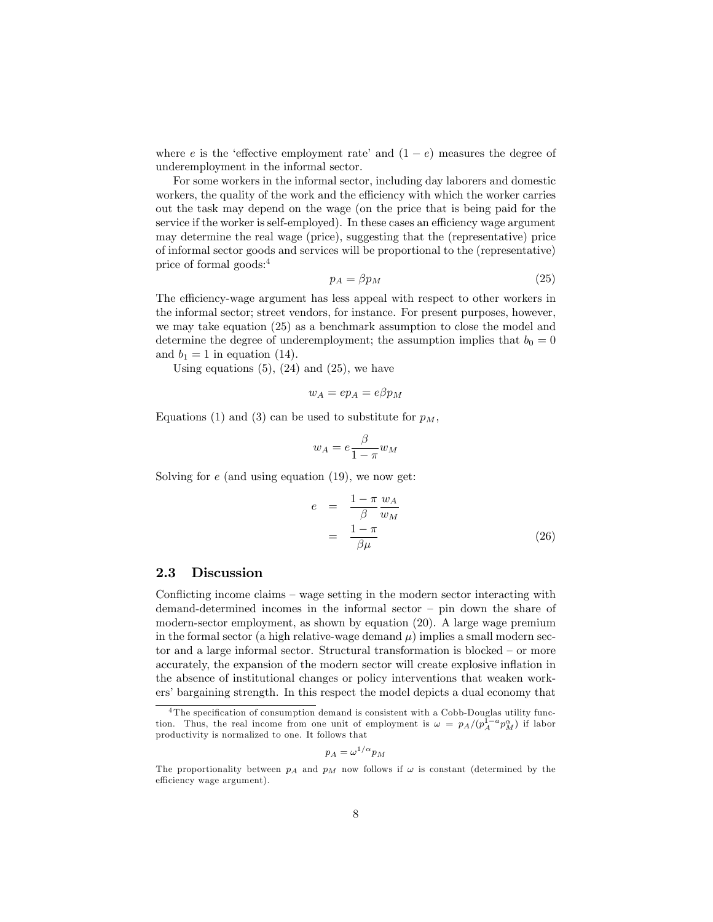where e is the 'effective employment rate' and  $(1 - e)$  measures the degree of underemployment in the informal sector.

For some workers in the informal sector, including day laborers and domestic workers, the quality of the work and the efficiency with which the worker carries out the task may depend on the wage (on the price that is being paid for the service if the worker is self-employed). In these cases an efficiency wage argument may determine the real wage (price), suggesting that the (representative) price of informal sector goods and services will be proportional to the (representative) price of formal goods:<sup>4</sup>

$$
p_A = \beta p_M \tag{25}
$$

The efficiency-wage argument has less appeal with respect to other workers in the informal sector; street vendors, for instance. For present purposes, however, we may take equation (25) as a benchmark assumption to close the model and determine the degree of underemployment; the assumption implies that  $b_0 = 0$ and  $b_1 = 1$  in equation (14).

Using equations  $(5)$ ,  $(24)$  and  $(25)$ , we have

$$
w_A=ep_A=e\beta p_M
$$

Equations (1) and (3) can be used to substitute for  $p_M$ ,

$$
w_A = e \frac{\beta}{1 - \pi} w_M
$$

Solving for  $e$  (and using equation (19), we now get:

$$
e = \frac{1 - \pi}{\beta} \frac{w_A}{w_M}
$$
  
= 
$$
\frac{1 - \pi}{\beta \mu}
$$
 (26)

#### 2.3 Discussion

Conflicting income claims  $-$  wage setting in the modern sector interacting with demand-determined incomes in the informal sector  $-$  pin down the share of modern-sector employment, as shown by equation (20). A large wage premium in the formal sector (a high relative-wage demand  $\mu$ ) implies a small modern sector and a large informal sector. Structural transformation is blocked  $-$  or more accurately, the expansion of the modern sector will create explosive inflation in the absence of institutional changes or policy interventions that weaken workers' bargaining strength. In this respect the model depicts a dual economy that

$$
p_A = \omega^{1/\alpha} p_M
$$

 $4$ The specification of consumption demand is consistent with a Cobb-Douglas utility function. Thus, the real income from one unit of employment is  $\omega = p_A/(p_A^{\bar{1}-a}p_M^{\alpha})$  if labor productivity is normalized to one. It follows that

The proportionality between  $p_A$  and  $p_M$  now follows if  $\omega$  is constant (determined by the efficiency wage argument).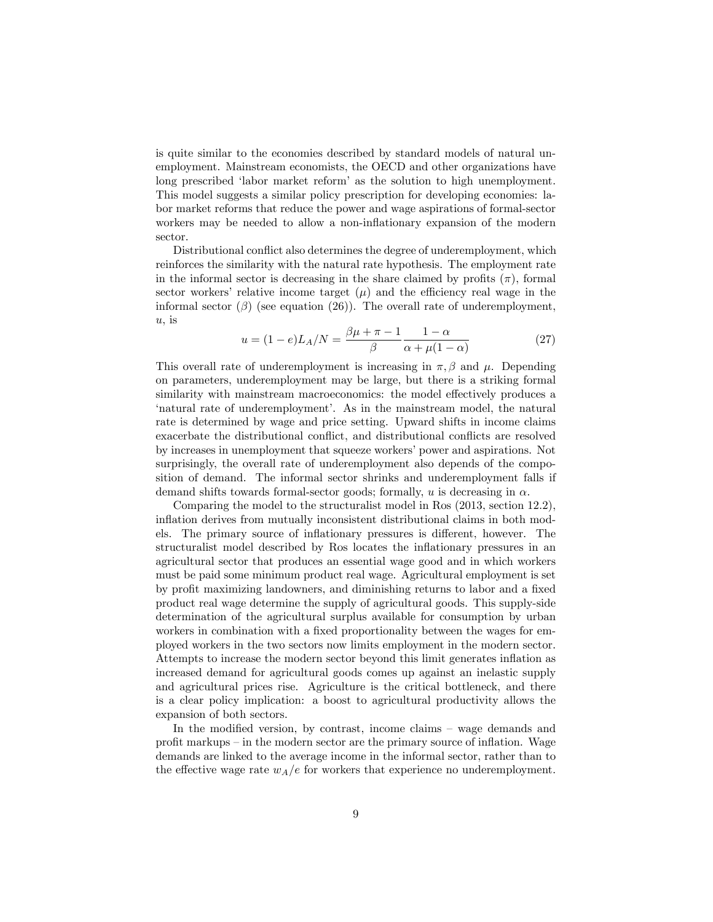is quite similar to the economies described by standard models of natural unemployment. Mainstream economists, the OECD and other organizations have long prescribed 'labor market reform' as the solution to high unemployment. This model suggests a similar policy prescription for developing economies: labor market reforms that reduce the power and wage aspirations of formal-sector workers may be needed to allow a non-inflationary expansion of the modern sector.

Distributional conflict also determines the degree of underemployment, which reinforces the similarity with the natural rate hypothesis. The employment rate in the informal sector is decreasing in the share claimed by profits  $(\pi)$ , formal sector workers' relative income target  $(\mu)$  and the efficiency real wage in the informal sector  $(\beta)$  (see equation (26)). The overall rate of underemployment,  $u$ , is

$$
u = (1 - e)L_A/N = \frac{\beta\mu + \pi - 1}{\beta} \frac{1 - \alpha}{\alpha + \mu(1 - \alpha)}
$$
(27)

This overall rate of underemployment is increasing in  $\pi, \beta$  and  $\mu$ . Depending on parameters, underemployment may be large, but there is a striking formal similarity with mainstream macroeconomics: the model effectively produces a ënatural rate of underemploymentí. As in the mainstream model, the natural rate is determined by wage and price setting. Upward shifts in income claims exacerbate the distributional conflict, and distributional conflicts are resolved by increases in unemployment that squeeze workers' power and aspirations. Not surprisingly, the overall rate of underemployment also depends of the composition of demand. The informal sector shrinks and underemployment falls if demand shifts towards formal-sector goods; formally, u is decreasing in  $\alpha$ .

Comparing the model to the structuralist model in Ros (2013, section 12.2), inflation derives from mutually inconsistent distributional claims in both models. The primary source of inflationary pressures is different, however. The structuralist model described by Ros locates the inflationary pressures in an agricultural sector that produces an essential wage good and in which workers must be paid some minimum product real wage. Agricultural employment is set by profit maximizing landowners, and diminishing returns to labor and a fixed product real wage determine the supply of agricultural goods. This supply-side determination of the agricultural surplus available for consumption by urban workers in combination with a fixed proportionality between the wages for employed workers in the two sectors now limits employment in the modern sector. Attempts to increase the modern sector beyond this limit generates inflation as increased demand for agricultural goods comes up against an inelastic supply and agricultural prices rise. Agriculture is the critical bottleneck, and there is a clear policy implication: a boost to agricultural productivity allows the expansion of both sectors.

In the modified version, by contrast, income claims  $-$  wage demands and profit markups  $-$  in the modern sector are the primary source of inflation. Wage demands are linked to the average income in the informal sector, rather than to the effective wage rate  $w_A/e$  for workers that experience no underemployment.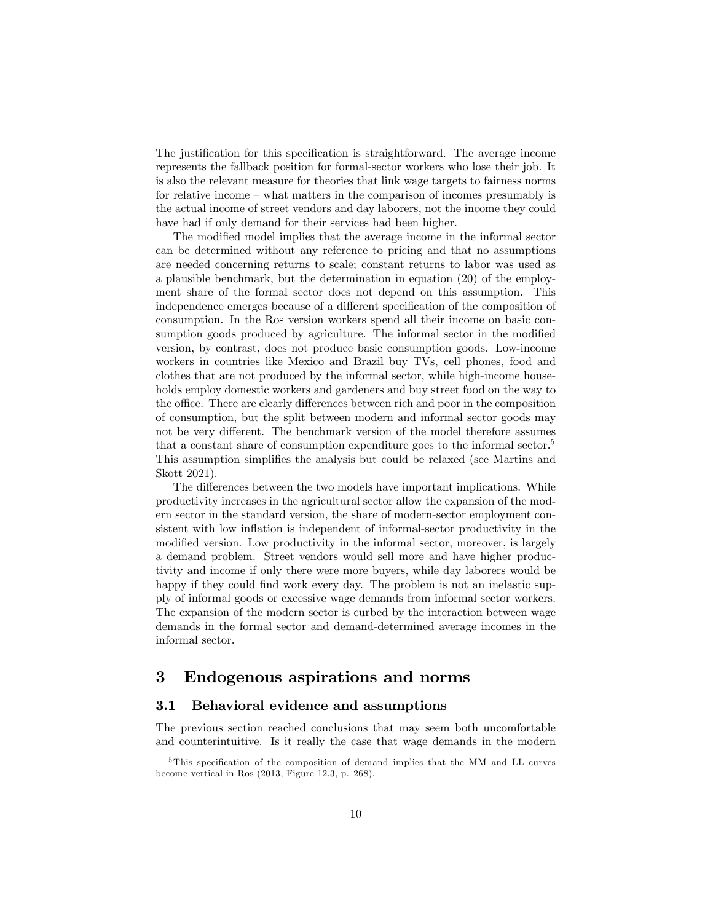The justification for this specification is straightforward. The average income represents the fallback position for formal-sector workers who lose their job. It is also the relevant measure for theories that link wage targets to fairness norms for relative income  $-\text{ what matters in the comparison of incomes presumably is}$ the actual income of street vendors and day laborers, not the income they could have had if only demand for their services had been higher.

The modified model implies that the average income in the informal sector can be determined without any reference to pricing and that no assumptions are needed concerning returns to scale; constant returns to labor was used as a plausible benchmark, but the determination in equation (20) of the employment share of the formal sector does not depend on this assumption. This independence emerges because of a different specification of the composition of consumption. In the Ros version workers spend all their income on basic consumption goods produced by agriculture. The informal sector in the modified version, by contrast, does not produce basic consumption goods. Low-income workers in countries like Mexico and Brazil buy TVs, cell phones, food and clothes that are not produced by the informal sector, while high-income households employ domestic workers and gardeners and buy street food on the way to the office. There are clearly differences between rich and poor in the composition of consumption, but the split between modern and informal sector goods may not be very different. The benchmark version of the model therefore assumes that a constant share of consumption expenditure goes to the informal sector.<sup>5</sup> This assumption simplifies the analysis but could be relaxed (see Martins and Skott 2021).

The differences between the two models have important implications. While productivity increases in the agricultural sector allow the expansion of the modern sector in the standard version, the share of modern-sector employment consistent with low inflation is independent of informal-sector productivity in the modified version. Low productivity in the informal sector, moreover, is largely a demand problem. Street vendors would sell more and have higher productivity and income if only there were more buyers, while day laborers would be happy if they could find work every day. The problem is not an inelastic supply of informal goods or excessive wage demands from informal sector workers. The expansion of the modern sector is curbed by the interaction between wage demands in the formal sector and demand-determined average incomes in the informal sector.

## 3 Endogenous aspirations and norms

#### 3.1 Behavioral evidence and assumptions

The previous section reached conclusions that may seem both uncomfortable and counterintuitive. Is it really the case that wage demands in the modern

 $5$ This specification of the composition of demand implies that the MM and LL curves become vertical in Ros (2013, Figure 12.3, p. 268).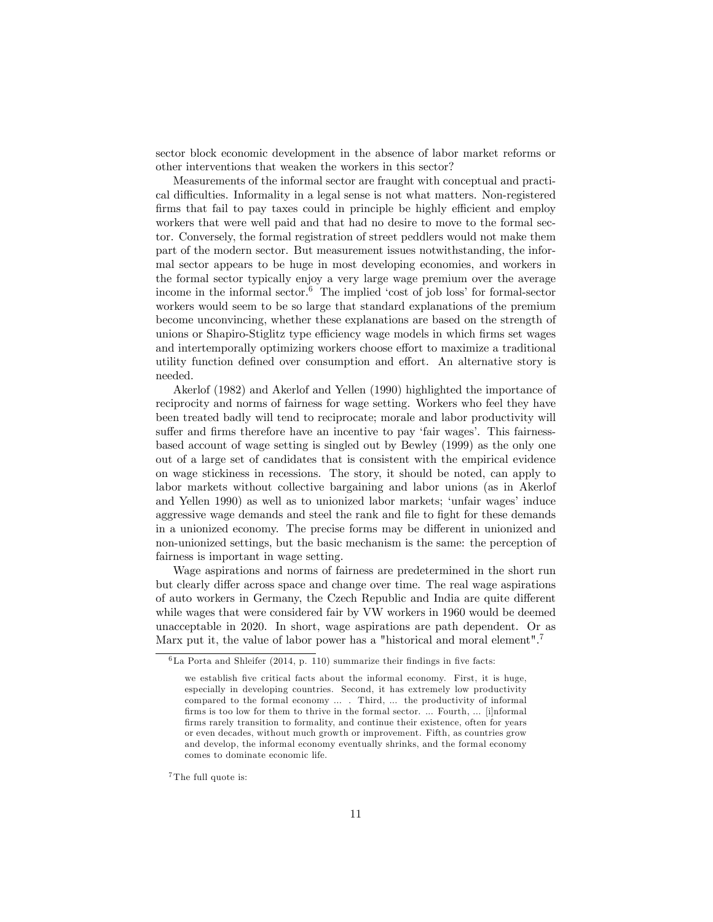sector block economic development in the absence of labor market reforms or other interventions that weaken the workers in this sector?

Measurements of the informal sector are fraught with conceptual and practical difficulties. Informality in a legal sense is not what matters. Non-registered firms that fail to pay taxes could in principle be highly efficient and employ workers that were well paid and that had no desire to move to the formal sector. Conversely, the formal registration of street peddlers would not make them part of the modern sector. But measurement issues notwithstanding, the informal sector appears to be huge in most developing economies, and workers in the formal sector typically enjoy a very large wage premium over the average income in the informal sector. $6$  The implied 'cost of job loss' for formal-sector workers would seem to be so large that standard explanations of the premium become unconvincing, whether these explanations are based on the strength of unions or Shapiro-Stiglitz type efficiency wage models in which firms set wages and intertemporally optimizing workers choose effort to maximize a traditional utility function defined over consumption and effort. An alternative story is needed.

Akerlof (1982) and Akerlof and Yellen (1990) highlighted the importance of reciprocity and norms of fairness for wage setting. Workers who feel they have been treated badly will tend to reciprocate; morale and labor productivity will suffer and firms therefore have an incentive to pay 'fair wages'. This fairnessbased account of wage setting is singled out by Bewley (1999) as the only one out of a large set of candidates that is consistent with the empirical evidence on wage stickiness in recessions. The story, it should be noted, can apply to labor markets without collective bargaining and labor unions (as in Akerlof and Yellen 1990) as well as to unionized labor markets; 'unfair wages' induce aggressive wage demands and steel the rank and file to fight for these demands in a unionized economy. The precise forms may be different in unionized and non-unionized settings, but the basic mechanism is the same: the perception of fairness is important in wage setting.

Wage aspirations and norms of fairness are predetermined in the short run but clearly differ across space and change over time. The real wage aspirations of auto workers in Germany, the Czech Republic and India are quite different while wages that were considered fair by VW workers in 1960 would be deemed unacceptable in 2020. In short, wage aspirations are path dependent. Or as Marx put it, the value of labor power has a "historical and moral element".<sup>7</sup>

<sup>7</sup>The full quote is:

 ${}^{6}$ La Porta and Shleifer (2014, p. 110) summarize their findings in five facts:

we establish five critical facts about the informal economy. First, it is huge, especially in developing countries. Second, it has extremely low productivity compared to the formal economy ... . Third, ... the productivity of informal firms is too low for them to thrive in the formal sector. ... Fourth, ... [i]nformal firms rarely transition to formality, and continue their existence, often for years or even decades, without much growth or improvement. Fifth, as countries grow and develop, the informal economy eventually shrinks, and the formal economy comes to dominate economic life.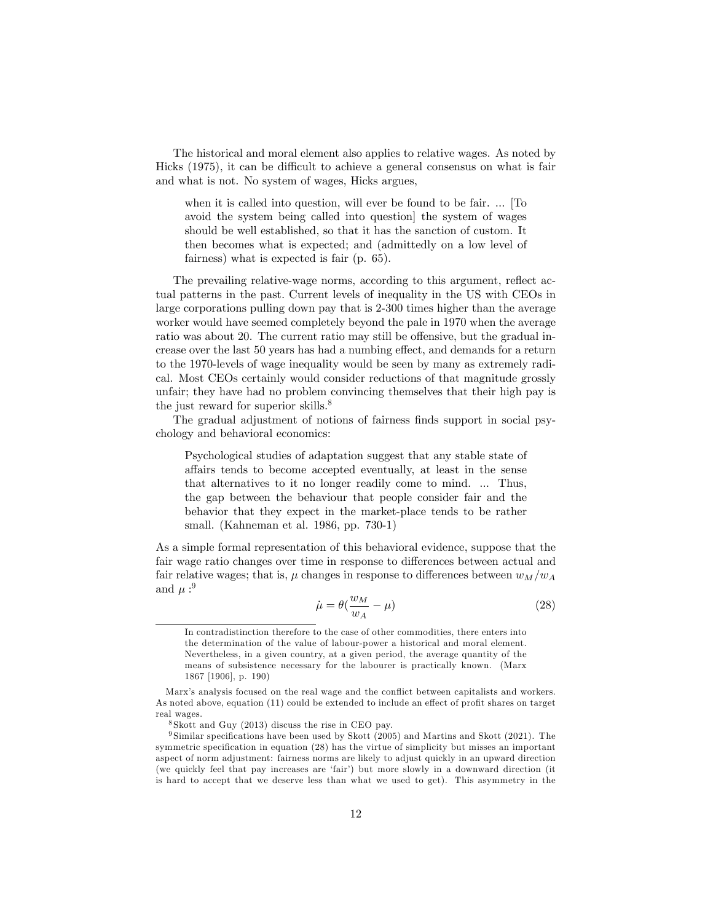The historical and moral element also applies to relative wages. As noted by Hicks  $(1975)$ , it can be difficult to achieve a general consensus on what is fair and what is not. No system of wages, Hicks argues,

when it is called into question, will ever be found to be fair. ... [To avoid the system being called into question] the system of wages should be well established, so that it has the sanction of custom. It then becomes what is expected; and (admittedly on a low level of fairness) what is expected is fair (p. 65).

The prevailing relative-wage norms, according to this argument, reflect actual patterns in the past. Current levels of inequality in the US with CEOs in large corporations pulling down pay that is 2-300 times higher than the average worker would have seemed completely beyond the pale in 1970 when the average ratio was about 20. The current ratio may still be offensive, but the gradual increase over the last 50 years has had a numbing effect, and demands for a return to the 1970-levels of wage inequality would be seen by many as extremely radical. Most CEOs certainly would consider reductions of that magnitude grossly unfair; they have had no problem convincing themselves that their high pay is the just reward for superior skills.<sup>8</sup>

The gradual adjustment of notions of fairness finds support in social psychology and behavioral economics:

Psychological studies of adaptation suggest that any stable state of a§airs tends to become accepted eventually, at least in the sense that alternatives to it no longer readily come to mind. ... Thus, the gap between the behaviour that people consider fair and the behavior that they expect in the market-place tends to be rather small. (Kahneman et al. 1986, pp. 730-1)

As a simple formal representation of this behavioral evidence, suppose that the fair wage ratio changes over time in response to differences between actual and fair relative wages; that is,  $\mu$  changes in response to differences between  $w_M/w_A$ and  $\mu:$ <sup>9</sup>

$$
\dot{\mu} = \theta(\frac{w_M}{w_A} - \mu) \tag{28}
$$

In contradistinction therefore to the case of other commodities, there enters into the determination of the value of labour-power a historical and moral element. Nevertheless, in a given country, at a given period, the average quantity of the means of subsistence necessary for the labourer is practically known. (Marx 1867 [1906], p. 190)

Marx's analysis focused on the real wage and the conflict between capitalists and workers. As noted above, equation (11) could be extended to include an effect of profit shares on target real wages.

<sup>8</sup> Skott and Guy (2013) discuss the rise in CEO pay.

 $9$  Similar specifications have been used by Skott (2005) and Martins and Skott (2021). The symmetric specification in equation (28) has the virtue of simplicity but misses an important aspect of norm adjustment: fairness norms are likely to adjust quickly in an upward direction (we quickly feel that pay increases are 'fair') but more slowly in a downward direction (it is hard to accept that we deserve less than what we used to get). This asymmetry in the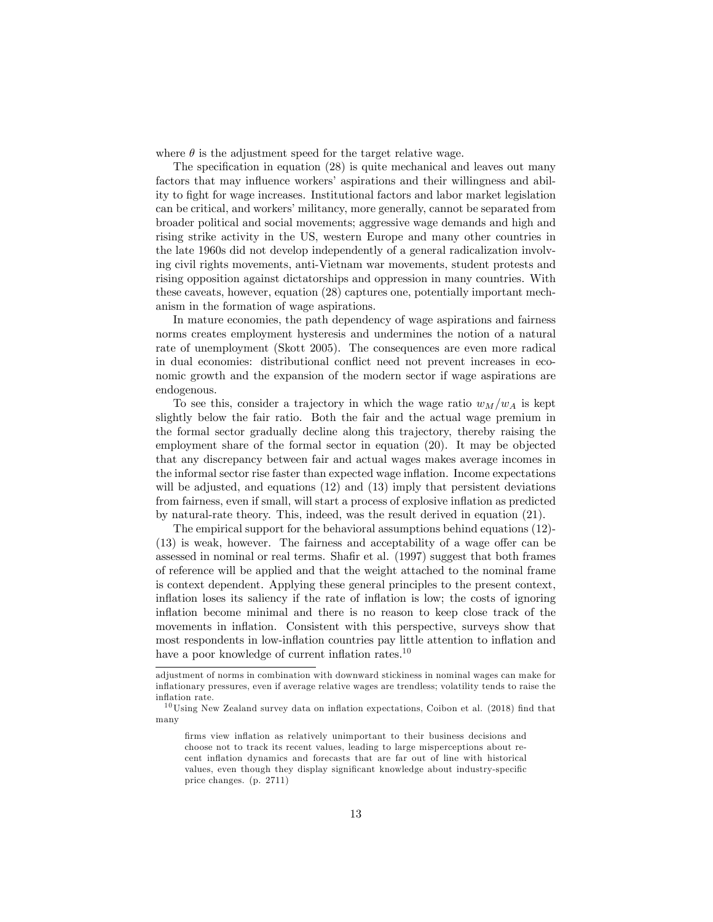where  $\theta$  is the adjustment speed for the target relative wage.

The specification in equation  $(28)$  is quite mechanical and leaves out many factors that may influence workers' aspirations and their willingness and ability to Öght for wage increases. Institutional factors and labor market legislation can be critical, and workers' militancy, more generally, cannot be separated from broader political and social movements; aggressive wage demands and high and rising strike activity in the US, western Europe and many other countries in the late 1960s did not develop independently of a general radicalization involving civil rights movements, anti-Vietnam war movements, student protests and rising opposition against dictatorships and oppression in many countries. With these caveats, however, equation (28) captures one, potentially important mechanism in the formation of wage aspirations.

In mature economies, the path dependency of wage aspirations and fairness norms creates employment hysteresis and undermines the notion of a natural rate of unemployment (Skott 2005). The consequences are even more radical in dual economies: distributional conflict need not prevent increases in economic growth and the expansion of the modern sector if wage aspirations are endogenous.

To see this, consider a trajectory in which the wage ratio  $w_M/w_A$  is kept slightly below the fair ratio. Both the fair and the actual wage premium in the formal sector gradually decline along this trajectory, thereby raising the employment share of the formal sector in equation (20). It may be objected that any discrepancy between fair and actual wages makes average incomes in the informal sector rise faster than expected wage ináation. Income expectations will be adjusted, and equations (12) and (13) imply that persistent deviations from fairness, even if small, will start a process of explosive inflation as predicted by natural-rate theory. This, indeed, was the result derived in equation (21).

The empirical support for the behavioral assumptions behind equations (12)-  $(13)$  is weak, however. The fairness and acceptability of a wage offer can be assessed in nominal or real terms. Shafir et al. (1997) suggest that both frames of reference will be applied and that the weight attached to the nominal frame is context dependent. Applying these general principles to the present context, inflation loses its saliency if the rate of inflation is low; the costs of ignoring inflation become minimal and there is no reason to keep close track of the movements in inflation. Consistent with this perspective, surveys show that most respondents in low-inflation countries pay little attention to inflation and have a poor knowledge of current inflation rates. $^{10}$ 

adjustment of norms in combination with downward stickiness in nominal wages can make for ináationary pressures, even if average relative wages are trendless; volatility tends to raise the inflation rate.

 $10$ Using New Zealand survey data on inflation expectations, Coibon et al. (2018) find that many

firms view inflation as relatively unimportant to their business decisions and choose not to track its recent values, leading to large misperceptions about recent inflation dynamics and forecasts that are far out of line with historical values, even though they display significant knowledge about industry-specific price changes. (p. 2711)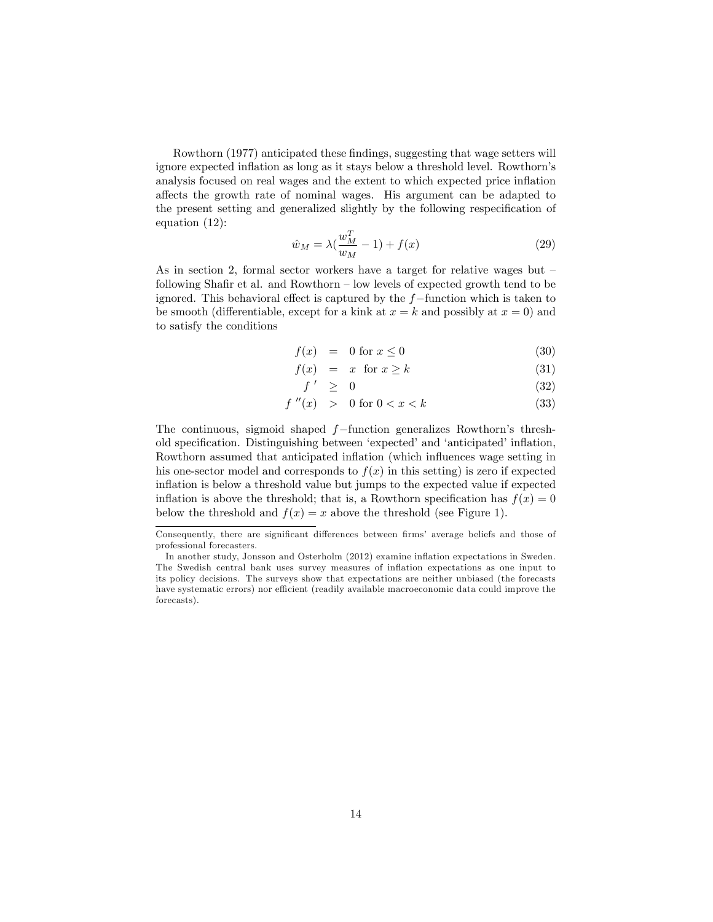Rowthorn (1977) anticipated these findings, suggesting that wage setters will ignore expected inflation as long as it stays below a threshold level. Rowthorn's analysis focused on real wages and the extent to which expected price ináation a§ects the growth rate of nominal wages. His argument can be adapted to the present setting and generalized slightly by the following respecification of equation (12):

$$
\hat{w}_M = \lambda \left( \frac{w_M^T}{w_M} - 1 \right) + f(x) \tag{29}
$$

As in section 2, formal sector workers have a target for relative wages but  $\overline{\phantom{a}}$ following Shafir et al. and Rowthorn  $\overline{\phantom{a}}$  low levels of expected growth tend to be ignored. This behavioral effect is captured by the  $f$ -function which is taken to be smooth (differentiable, except for a kink at  $x = k$  and possibly at  $x = 0$ ) and to satisfy the conditions

$$
f(x) = 0 \text{ for } x \le 0 \tag{30}
$$

$$
f(x) = x \text{ for } x \ge k \tag{31}
$$

$$
f' \geq 0 \tag{32}
$$

$$
f''(x) > 0 \text{ for } 0 < x < k \tag{33}
$$

The continuous, sigmoid shaped  $f$ -function generalizes Rowthorn's threshold specification. Distinguishing between 'expected' and 'anticipated' inflation, Rowthorn assumed that anticipated inflation (which influences wage setting in his one-sector model and corresponds to  $f(x)$  in this setting) is zero if expected inflation is below a threshold value but jumps to the expected value if expected inflation is above the threshold; that is, a Rowthorn specification has  $f(x) = 0$ below the threshold and  $f(x) = x$  above the threshold (see Figure 1).

Consequently, there are significant differences between firms' average beliefs and those of professional forecasters.

In another study, Jonsson and Osterholm (2012) examine ináation expectations in Sweden. The Swedish central bank uses survey measures of ináation expectations as one input to its policy decisions. The surveys show that expectations are neither unbiased (the forecasts have systematic errors) nor efficient (readily available macroeconomic data could improve the forecasts).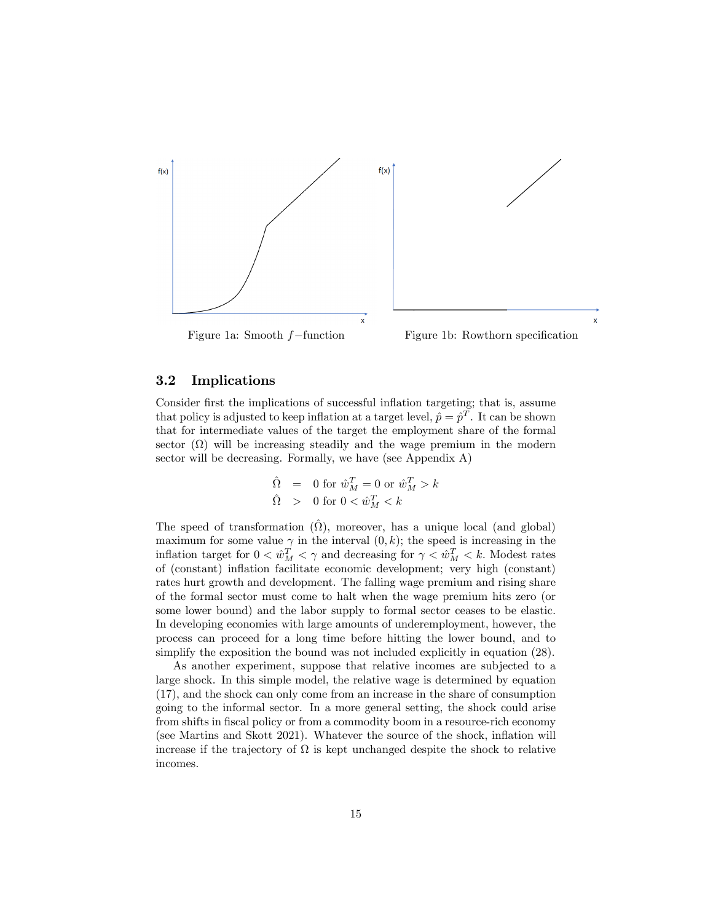



#### 3.2 Implications

Consider first the implications of successful inflation targeting; that is, assume that policy is adjusted to keep inflation at a target level,  $\hat{p} = \hat{p}^T$ . It can be shown that for intermediate values of the target the employment share of the formal sector  $(\Omega)$  will be increasing steadily and the wage premium in the modern sector will be decreasing. Formally, we have (see Appendix A)

$$
\begin{array}{lcl} \hat{\Omega} & = & 0 \textrm{ for } \hat{w}^T_M = 0 \textrm{ or } \hat{w}^T_M > k \\ \hat{\Omega} & > & 0 \textrm{ for } 0 < \hat{w}^T_M < k \end{array}
$$

The speed of transformation  $(\hat{\Omega})$ , moreover, has a unique local (and global) maximum for some value  $\gamma$  in the interval  $(0, k)$ ; the speed is increasing in the inflation target for  $0 < \hat{w}_M^T < \gamma$  and decreasing for  $\gamma < \hat{w}_M^T < k$ . Modest rates of (constant) inflation facilitate economic development; very high (constant) rates hurt growth and development. The falling wage premium and rising share of the formal sector must come to halt when the wage premium hits zero (or some lower bound) and the labor supply to formal sector ceases to be elastic. In developing economies with large amounts of underemployment, however, the process can proceed for a long time before hitting the lower bound, and to simplify the exposition the bound was not included explicitly in equation  $(28)$ .

As another experiment, suppose that relative incomes are subjected to a large shock. In this simple model, the relative wage is determined by equation (17), and the shock can only come from an increase in the share of consumption going to the informal sector. In a more general setting, the shock could arise from shifts in fiscal policy or from a commodity boom in a resource-rich economy (see Martins and Skott 2021). Whatever the source of the shock, inflation will increase if the trajectory of  $\Omega$  is kept unchanged despite the shock to relative incomes.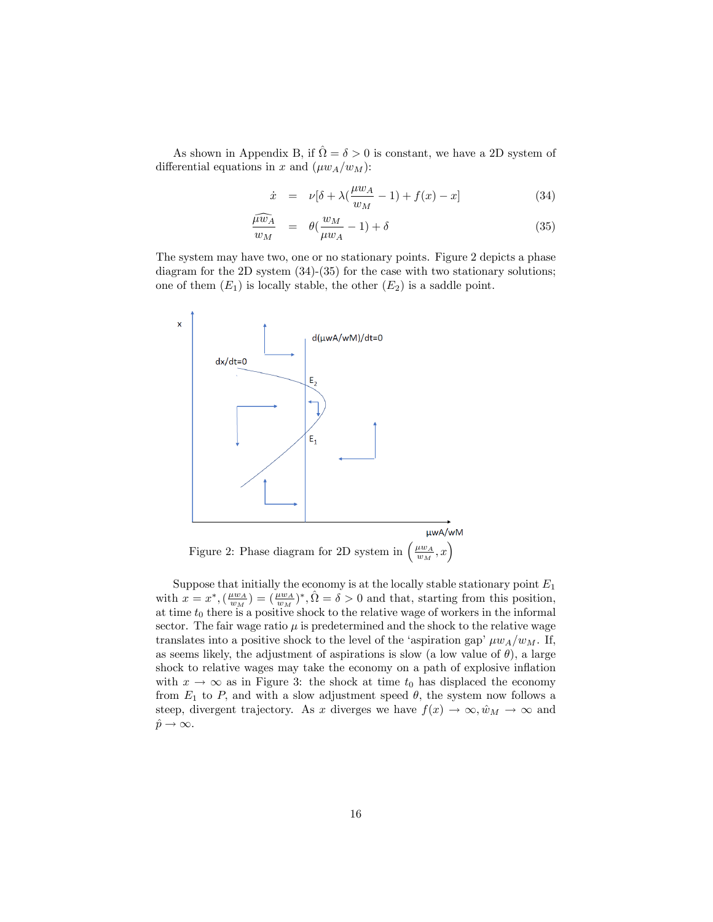As shown in Appendix B, if  $\hat{\Omega} = \delta > 0$  is constant, we have a 2D system of differential equations in x and  $(\mu w_A/w_M)$ :

$$
\dot{x} = \nu[\delta + \lambda(\frac{\mu w_A}{w_M} - 1) + f(x) - x] \tag{34}
$$

$$
\frac{\widehat{\mu w}_A}{w_M} = \theta(\frac{w_M}{\mu w_A} - 1) + \delta \tag{35}
$$

The system may have two, one or no stationary points. Figure 2 depicts a phase diagram for the 2D system (34)-(35) for the case with two stationary solutions; one of them  $(E_1)$  is locally stable, the other  $(E_2)$  is a saddle point.



Suppose that initially the economy is at the locally stable stationary point  $E_1$ with  $x = x^*, \left(\frac{\mu w_A}{w_M}\right) = \left(\frac{\mu w_A}{w_M}\right)^*, \hat{\Omega} = \delta > 0$  and that, starting from this position, at time  $t_0$  there is a positive shock to the relative wage of workers in the informal sector. The fair wage ratio  $\mu$  is predetermined and the shock to the relative wage translates into a positive shock to the level of the 'aspiration gap'  $\mu w_A/w_M$ . If, as seems likely, the adjustment of aspirations is slow (a low value of  $\theta$ ), a large shock to relative wages may take the economy on a path of explosive inflation with  $x \to \infty$  as in Figure 3: the shock at time  $t_0$  has displaced the economy from  $E_1$  to P, and with a slow adjustment speed  $\theta$ , the system now follows a steep, divergent trajectory. As x diverges we have  $f(x) \to \infty, \hat{w}_M \to \infty$  and  $\hat{p} \rightarrow \infty.$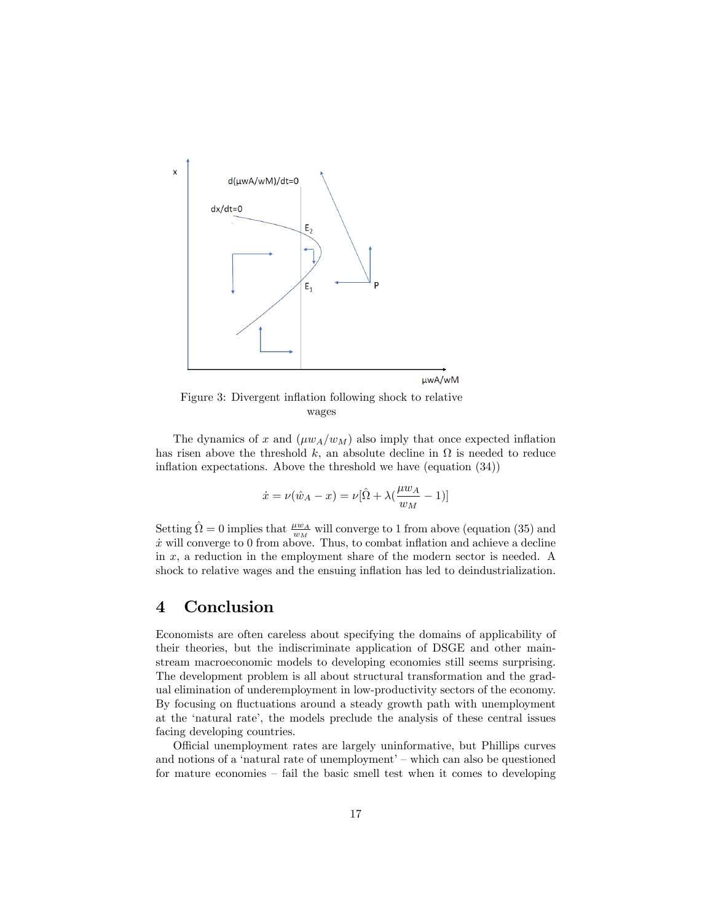

Figure 3: Divergent inflation following shock to relative wages

The dynamics of x and  $(\mu w_A/w_M)$  also imply that once expected inflation has risen above the threshold k, an absolute decline in  $\Omega$  is needed to reduce inflation expectations. Above the threshold we have (equation  $(34)$ )

$$
\dot{x} = \nu(\hat{w}_A - x) = \nu[\hat{\Omega} + \lambda(\frac{\mu w_A}{w_M} - 1)]
$$

Setting  $\hat{\Omega} = 0$  implies that  $\frac{\mu w_A}{w_M}$  will converge to 1 from above (equation (35) and  $\dot{x}$  will converge to 0 from above. Thus, to combat inflation and achieve a decline in  $x$ , a reduction in the employment share of the modern sector is needed. A shock to relative wages and the ensuing inflation has led to deindustrialization.

## 4 Conclusion

Economists are often careless about specifying the domains of applicability of their theories, but the indiscriminate application of DSGE and other mainstream macroeconomic models to developing economies still seems surprising. The development problem is all about structural transformation and the gradual elimination of underemployment in low-productivity sectors of the economy. By focusing on fluctuations around a steady growth path with unemployment at the ënatural rateí, the models preclude the analysis of these central issues facing developing countries.

Official unemployment rates are largely uninformative, but Phillips curves and notions of a 'natural rate of unemployment'  $-$  which can also be questioned for mature economies  $-$  fail the basic smell test when it comes to developing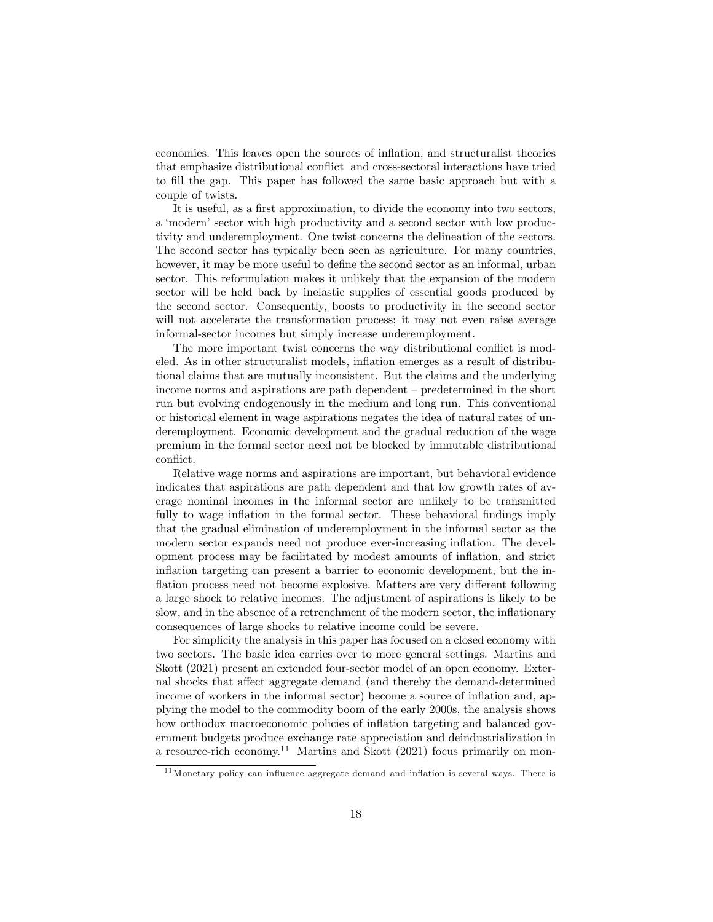economies. This leaves open the sources of ináation, and structuralist theories that emphasize distributional conflict and cross-sectoral interactions have tried to Öll the gap. This paper has followed the same basic approach but with a couple of twists.

It is useful, as a first approximation, to divide the economy into two sectors, a 'modern' sector with high productivity and a second sector with low productivity and underemployment. One twist concerns the delineation of the sectors. The second sector has typically been seen as agriculture. For many countries, however, it may be more useful to define the second sector as an informal, urban sector. This reformulation makes it unlikely that the expansion of the modern sector will be held back by inelastic supplies of essential goods produced by the second sector. Consequently, boosts to productivity in the second sector will not accelerate the transformation process; it may not even raise average informal-sector incomes but simply increase underemployment.

The more important twist concerns the way distributional conflict is modeled. As in other structuralist models, inflation emerges as a result of distributional claims that are mutually inconsistent. But the claims and the underlying income norms and aspirations are path dependent  $-\text{predetermined}$  in the short run but evolving endogenously in the medium and long run. This conventional or historical element in wage aspirations negates the idea of natural rates of underemployment. Economic development and the gradual reduction of the wage premium in the formal sector need not be blocked by immutable distributional conflict.

Relative wage norms and aspirations are important, but behavioral evidence indicates that aspirations are path dependent and that low growth rates of average nominal incomes in the informal sector are unlikely to be transmitted fully to wage inflation in the formal sector. These behavioral findings imply that the gradual elimination of underemployment in the informal sector as the modern sector expands need not produce ever-increasing inflation. The development process may be facilitated by modest amounts of inflation, and strict inflation targeting can present a barrier to economic development, but the inflation process need not become explosive. Matters are very different following a large shock to relative incomes. The adjustment of aspirations is likely to be slow, and in the absence of a retrenchment of the modern sector, the inflationary consequences of large shocks to relative income could be severe.

For simplicity the analysis in this paper has focused on a closed economy with two sectors. The basic idea carries over to more general settings. Martins and Skott (2021) present an extended four-sector model of an open economy. External shocks that affect aggregate demand (and thereby the demand-determined income of workers in the informal sector) become a source of inflation and, applying the model to the commodity boom of the early 2000s, the analysis shows how orthodox macroeconomic policies of inflation targeting and balanced government budgets produce exchange rate appreciation and deindustrialization in a resource-rich economy.<sup>11</sup> Martins and Skott (2021) focus primarily on mon-

 $11$  Monetary policy can influence aggregate demand and inflation is several ways. There is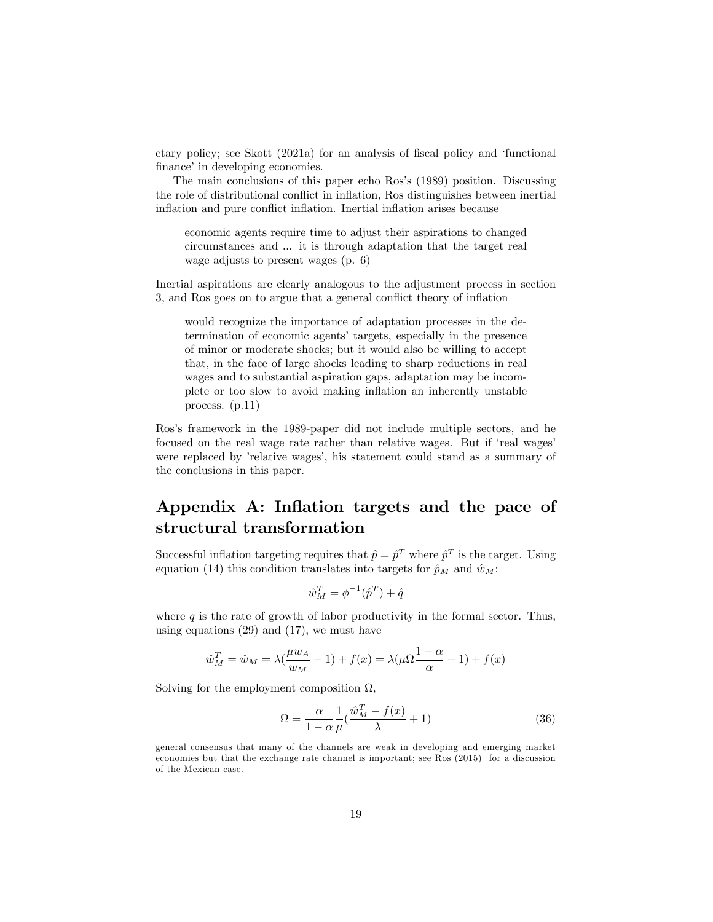etary policy; see Skott (2021a) for an analysis of fiscal policy and 'functional finance' in developing economies.

The main conclusions of this paper echo Ros's (1989) position. Discussing the role of distributional conflict in inflation, Ros distinguishes between inertial inflation and pure conflict inflation. Inertial inflation arises because

economic agents require time to adjust their aspirations to changed circumstances and ... it is through adaptation that the target real wage adjusts to present wages (p. 6)

Inertial aspirations are clearly analogous to the adjustment process in section 3, and Ros goes on to argue that a general conflict theory of inflation

would recognize the importance of adaptation processes in the determination of economic agents' targets, especially in the presence of minor or moderate shocks; but it would also be willing to accept that, in the face of large shocks leading to sharp reductions in real wages and to substantial aspiration gaps, adaptation may be incomplete or too slow to avoid making inflation an inherently unstable process. (p.11)

Ros's framework in the 1989-paper did not include multiple sectors, and he focused on the real wage rate rather than relative wages. But if 'real wages' were replaced by 'relative wages', his statement could stand as a summary of the conclusions in this paper.

## Appendix A: Inflation targets and the pace of structural transformation

Successful inflation targeting requires that  $\hat{p} = \hat{p}^T$  where  $\hat{p}^T$  is the target. Using equation (14) this condition translates into targets for  $\hat{p}_M$  and  $\hat{w}_M$ :

$$
\hat{w}_M^T = \phi^{-1}(\hat{p}^T) + \hat{q}
$$

where  $q$  is the rate of growth of labor productivity in the formal sector. Thus, using equations (29) and (17), we must have

$$
\hat{w}_M^T = \hat{w}_M = \lambda \left(\frac{\mu w_A}{w_M} - 1\right) + f(x) = \lambda \left(\mu \Omega \frac{1 - \alpha}{\alpha} - 1\right) + f(x)
$$

Solving for the employment composition  $\Omega$ ,

$$
\Omega = \frac{\alpha}{1 - \alpha} \frac{1}{\mu} \left( \frac{\hat{w}_M^T - f(x)}{\lambda} + 1 \right) \tag{36}
$$

general consensus that many of the channels are weak in developing and emerging market economies but that the exchange rate channel is important; see Ros (2015) for a discussion of the Mexican case.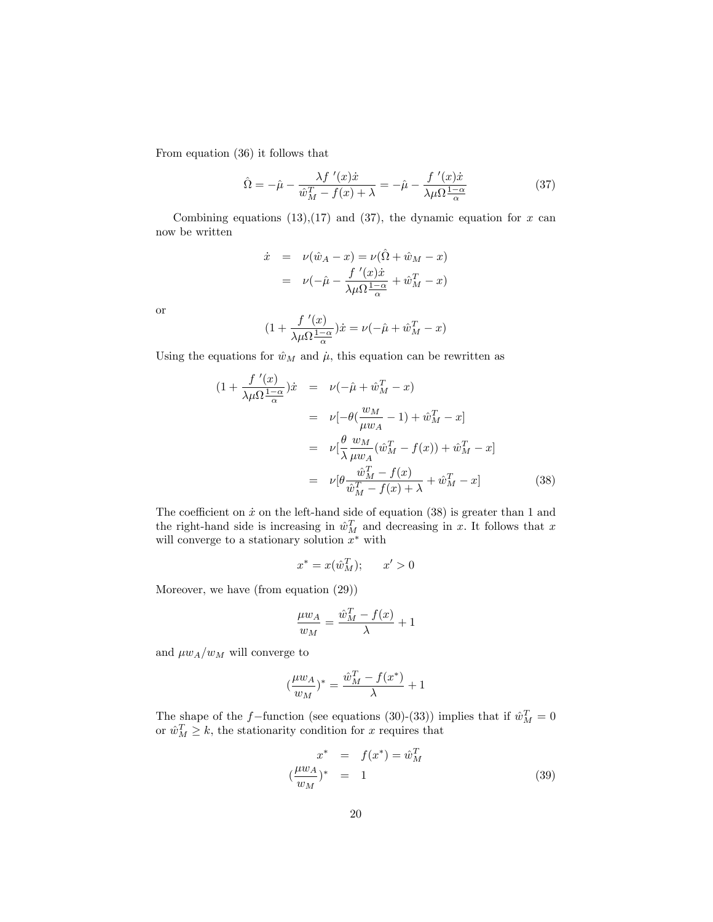From equation (36) it follows that

$$
\hat{\Omega} = -\hat{\mu} - \frac{\lambda f'(x)\dot{x}}{\hat{w}_M^T - f(x) + \lambda} = -\hat{\mu} - \frac{f'(x)\dot{x}}{\lambda \mu \Omega \frac{1-\alpha}{\alpha}} \tag{37}
$$

Combining equations  $(13),(17)$  and  $(37)$ , the dynamic equation for x can now be written

$$
\dot{x} = \nu(\hat{w}_A - x) = \nu(\hat{\Omega} + \hat{w}_M - x)
$$

$$
= \nu(-\hat{\mu} - \frac{f'(x)\dot{x}}{\lambda\mu\Omega\frac{1-\alpha}{\alpha}} + \hat{w}_M^T - x)
$$

or

$$
(1 + \frac{f'(\mathbf{x})}{\lambda \mu \Omega \frac{1 - \alpha}{\alpha}})\dot{x} = \nu(-\hat{\mu} + \hat{w}_M^T - x)
$$

Using the equations for  $\hat{w}_M$  and  $\hat{\mu}$ , this equation can be rewritten as

$$
(1 + \frac{f'(x)}{\lambda \mu \Omega \frac{1-\alpha}{\alpha}})\dot{x} = \nu(-\hat{\mu} + \hat{w}_M^T - x)
$$
  
\n
$$
= \nu[-\theta(\frac{w_M}{\mu w_A} - 1) + \hat{w}_M^T - x]
$$
  
\n
$$
= \nu[\frac{\theta}{\lambda} \frac{w_M}{\mu w_A}(\hat{w}_M^T - f(x)) + \hat{w}_M^T - x]
$$
  
\n
$$
= \nu[\theta \frac{\hat{w}_M^T - f(x)}{\hat{w}_M^T - f(x) + \lambda} + \hat{w}_M^T - x]
$$
(38)

The coefficient on  $\dot{x}$  on the left-hand side of equation (38) is greater than 1 and the right-hand side is increasing in  $\hat{w}_M^T$  and decreasing in x. It follows that x will converge to a stationary solution  $x^*$  with

$$
x^* = x(\hat{w}_M^T); \qquad x' > 0
$$

Moreover, we have (from equation (29))

$$
\frac{\mu w_A}{w_M} = \frac{\hat{w}_M^T - f(x)}{\lambda} + 1
$$

and  $\mu w_A/w_M$  will converge to

$$
(\frac{\mu w_A}{w_M})^* = \frac{\hat{w}_M^T - f(x^*)}{\lambda} + 1
$$

The shape of the f-function (see equations (30)-(33)) implies that if  $\hat{w}_M^T = 0$ or  $\hat{w}_M^T \geq k$ , the stationarity condition for x requires that

$$
x^* = f(x^*) = \hat{w}_M^T
$$
  

$$
(\frac{\mu w_A}{w_M})^* = 1
$$
 (39)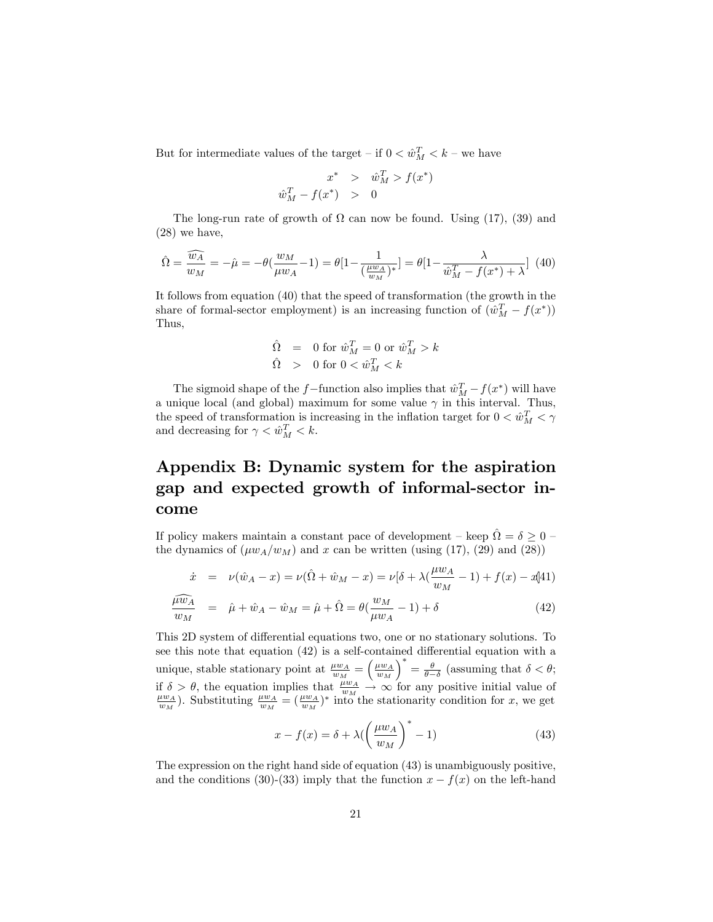But for intermediate values of the target – if  $0 < \hat{w}_M^T < k$  – we have

$$
x^* > \hat{w}_M^T > f(x \hat{w}_M^T - f(x^*) > 0
$$

 $^*)$ 

The long-run rate of growth of  $\Omega$  can now be found. Using (17), (39) and (28) we have,

$$
\hat{\Omega} = \frac{\widehat{w_A}}{w_M} = -\hat{\mu} = -\theta(\frac{w_M}{\mu w_A} - 1) = \theta[1 - \frac{1}{(\frac{\mu w_A}{w_M})^*}] = \theta[1 - \frac{\lambda}{\hat{w}_M^T - f(x^*) + \lambda}] \tag{40}
$$

It follows from equation (40) that the speed of transformation (the growth in the share of formal-sector employment) is an increasing function of  $(\hat{w}_M^T - f(x^*))$ Thus,

$$
\begin{array}{lcl} \hat{\Omega} & = & 0 \textrm{ for } \hat{w}^T_M = 0 \textrm{ or } \hat{w}^T_M > k \\ \hat{\Omega} & > & 0 \textrm{ for } 0 < \hat{w}^T_M < k \end{array}
$$

The sigmoid shape of the f-function also implies that  $\hat{w}_M^T - f(x^*)$  will have a unique local (and global) maximum for some value  $\gamma$  in this interval. Thus, the speed of transformation is increasing in the inflation target for  $0 < \hat{w}_M^T < \gamma$ and decreasing for  $\gamma < \hat{w}_M^T < k$ .

## Appendix B: Dynamic system for the aspiration gap and expected growth of informal-sector income

If policy makers maintain a constant pace of development – keep  $\hat{\Omega} = \delta \geq 0$  – the dynamics of  $(\mu w_A/w_M)$  and x can be written (using (17), (29) and (28))

$$
\dot{x} = \nu(\hat{w}_A - x) = \nu(\hat{\Omega} + \hat{w}_M - x) = \nu[\delta + \lambda(\frac{\mu w_A}{w_M} - 1) + f(x) - x(1)]
$$

$$
\frac{\widehat{\mu w_A}}{w_M} = \widehat{\mu} + \widehat{w}_A - \widehat{w}_M = \widehat{\mu} + \widehat{\Omega} = \theta(\frac{w_M}{\mu w_A} - 1) + \delta \tag{42}
$$

This 2D system of differential equations two, one or no stationary solutions. To see this note that equation  $(42)$  is a self-contained differential equation with a unique, stable stationary point at  $\frac{\mu w_A}{w_M} = \left(\frac{\mu w_A}{w_M}\right)^2$  $\int^* = \frac{\theta}{\theta - \delta}$  (assuming that  $\delta < \theta$ ; if  $\delta > \theta$ , the equation implies that  $\frac{\mu w_A}{w_M} \to \infty$  for any positive initial value of  $\frac{\mu w_A}{w_M}$ . Substituting  $\frac{\mu w_A}{w_M} = (\frac{\mu w_A}{w_M})^*$  into the stationarity condition for x, we get

$$
x - f(x) = \delta + \lambda \left(\frac{\mu w_A}{w_M}\right)^* - 1)
$$
\n(43)

The expression on the right hand side of equation (43) is unambiguously positive, and the conditions (30)-(33) imply that the function  $x - f(x)$  on the left-hand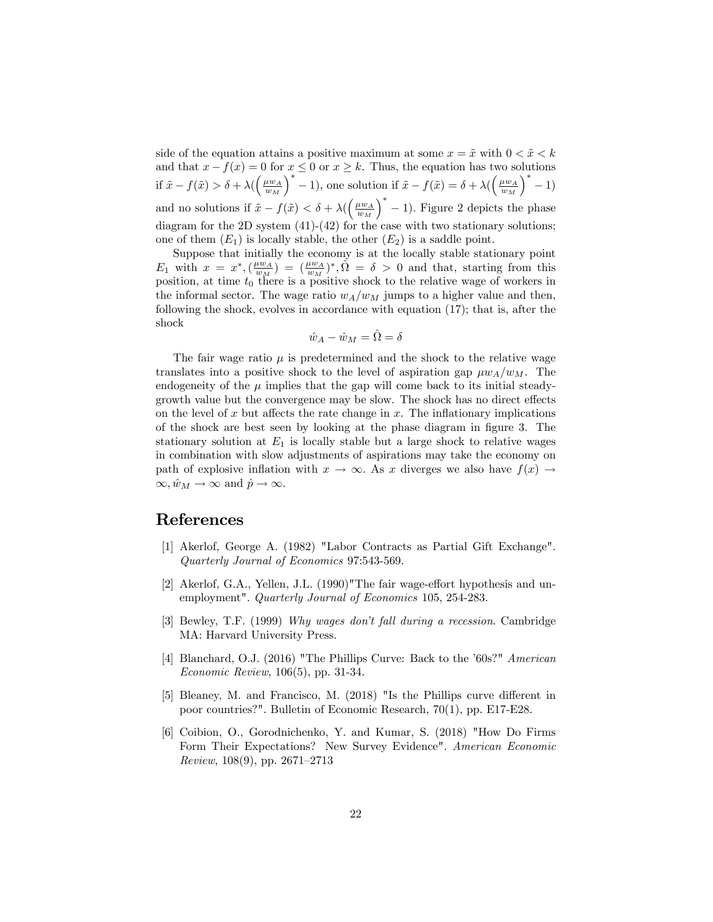side of the equation attains a positive maximum at some  $x = \tilde{x}$  with  $0 < \tilde{x} < k$ and that  $x - f(x) = 0$  for  $x \le 0$  or  $x \ge k$ . Thus, the equation has two solutions if  $\tilde{x} - f(\tilde{x}) > \delta + \lambda \left( \left( \frac{\mu w_A}{w_M} \right) \right)$  $\int_0^* -1$ , one solution if  $\tilde{x} - f(\tilde{x}) = \delta + \lambda \left( \frac{\mu w_A}{w_M} \right)$  $)$ <sup>\*</sup> - 1) and no solutions if  $\tilde{x} - f(\tilde{x}) < \delta + \lambda \left(\frac{\mu w_A}{w_M}\right)$  $\big)$ <sup>\*</sup> - 1). Figure 2 depicts the phase diagram for the 2D system (41)-(42) for the case with two stationary solutions; one of them  $(E_1)$  is locally stable, the other  $(E_2)$  is a saddle point.

Suppose that initially the economy is at the locally stable stationary point  $E_1$  with  $x = x^*, \left(\frac{\mu w_A}{w_M}\right) = \left(\frac{\mu w_A}{w_M}\right)^*, \hat{\Omega} = \delta > 0$  and that, starting from this position, at time  $t_0$  there is a positive shock to the relative wage of workers in the informal sector. The wage ratio  $w_A/w_M$  jumps to a higher value and then, following the shock, evolves in accordance with equation (17); that is, after the shock

$$
\hat{w}_A - \hat{w}_M = \hat{\Omega} = \delta
$$

The fair wage ratio  $\mu$  is predetermined and the shock to the relative wage translates into a positive shock to the level of aspiration gap  $\mu w_A/w_M$ . The endogeneity of the  $\mu$  implies that the gap will come back to its initial steadygrowth value but the convergence may be slow. The shock has no direct effects on the level of x but affects the rate change in  $x$ . The inflationary implications of the shock are best seen by looking at the phase diagram in figure 3. The stationary solution at  $E_1$  is locally stable but a large shock to relative wages in combination with slow adjustments of aspirations may take the economy on path of explosive inflation with  $x \to \infty$ . As x diverges we also have  $f(x) \to$  $\infty, \hat{w}_M \to \infty$  and  $\hat{p} \to \infty.$ 

### References

- [1] Akerlof, George A. (1982) "Labor Contracts as Partial Gift Exchange". Quarterly Journal of Economics 97:543-569.
- [2] Akerlof, G.A., Yellen, J.L.  $(1990)$ "The fair wage-effort hypothesis and unemployment". Quarterly Journal of Economics 105, 254-283.
- [3] Bewley, T.F. (1999) Why wages don't fall during a recession. Cambridge MA: Harvard University Press.
- [4] Blanchard, O.J. (2016) "The Phillips Curve: Back to the '60s?" American Economic Review, 106(5), pp. 31-34.
- [5] Bleaney, M. and Francisco, M. (2018) "Is the Phillips curve different in poor countries?". Bulletin of Economic Research, 70(1), pp. E17-E28.
- [6] Coibion, O., Gorodnichenko, Y. and Kumar, S. (2018) "How Do Firms Form Their Expectations? New Survey Evidence". American Economic Review,  $108(9)$ , pp.  $2671-2713$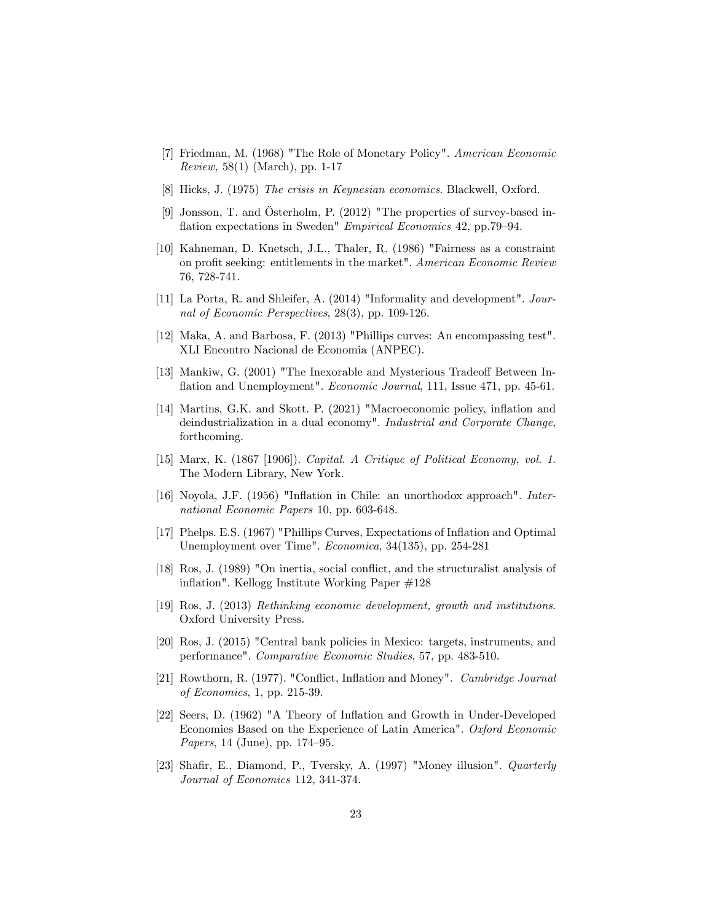- [7] Friedman, M. (1968) "The Role of Monetary Policy". American Economic Review, 58(1) (March), pp. 1-17
- [8] Hicks, J. (1975) The crisis in Keynesian economics. Blackwell, Oxford.
- [9] Jonsson, T. and Österholm, P.  $(2012)$  "The properties of survey-based inflation expectations in Sweden" Empirical Economics 42, pp.79–94.
- [10] Kahneman, D. Knetsch, J.L., Thaler, R. (1986) "Fairness as a constraint on profit seeking: entitlements in the market". American Economic Review 76, 728-741.
- [11] La Porta, R. and Shleifer, A. (2014) "Informality and development". Journal of Economic Perspectives, 28(3), pp. 109-126.
- [12] Maka, A. and Barbosa, F. (2013) "Phillips curves: An encompassing test". XLI Encontro Nacional de Economia (ANPEC).
- [13] Mankiw, G. (2001) "The Inexorable and Mysterious Tradeoff Between Inflation and Unemployment". *Economic Journal*, 111, Issue 471, pp. 45-61.
- [14] Martins, G.K. and Skott. P. (2021) "Macroeconomic policy, inflation and deindustrialization in a dual economy". Industrial and Corporate Change, forthcoming.
- [15] Marx, K. (1867 [1906]). Capital. A Critique of Political Economy, vol. 1. The Modern Library, New York.
- [16] Noyola, J.F. (1956) "Inflation in Chile: an unorthodox approach". International Economic Papers 10, pp. 603-648.
- [17] Phelps. E.S. (1967) "Phillips Curves, Expectations of Inflation and Optimal Unemployment over Time". Economica, 34(135), pp. 254-281
- [18] Ros, J. (1989) "On inertia, social conflict, and the structuralist analysis of inflation". Kellogg Institute Working Paper #128
- [19] Ros, J. (2013) Rethinking economic development, growth and institutions. Oxford University Press.
- [20] Ros, J. (2015) "Central bank policies in Mexico: targets, instruments, and performance". Comparative Economic Studies, 57, pp. 483-510.
- [21] Rowthorn, R. (1977). "Conflict, Inflation and Money". Cambridge Journal of Economics, 1, pp. 215-39.
- [22] Seers, D. (1962) "A Theory of Ináation and Growth in Under-Developed Economies Based on the Experience of Latin America". Oxford Economic Papers, 14 (June), pp.  $174-95$ .
- [23] Shafir, E., Diamond, P., Tversky, A. (1997) "Money illusion". *Quarterly* Journal of Economics 112, 341-374.